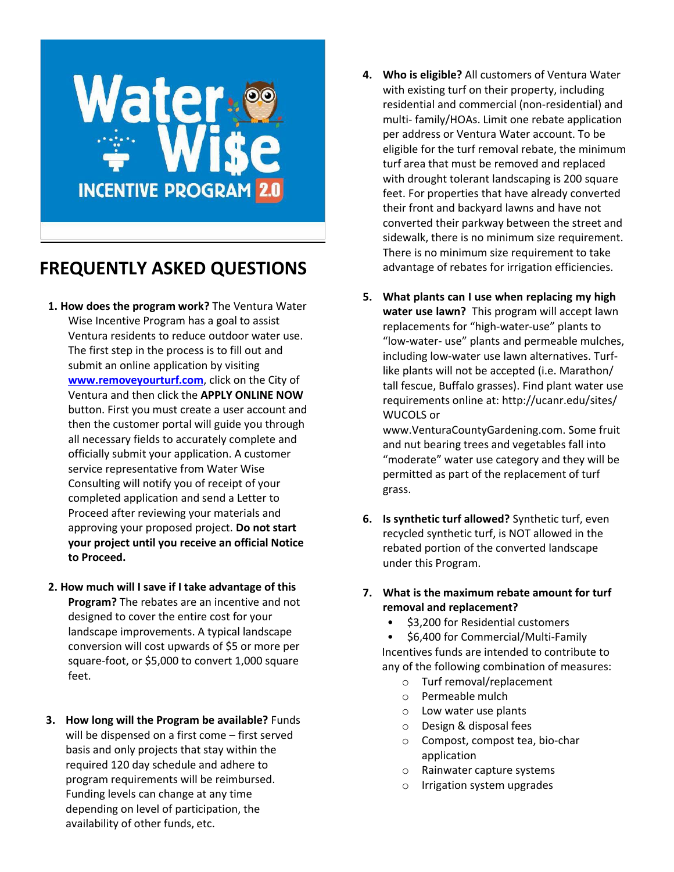

## **FREQUENTLY ASKED QUESTIONS**

- **1. How does the program work?** The Ventura Water Wise Incentive Program has a goal to assist Ventura residents to reduce outdoor water use. The first step in the process is to fill out and submit an online application by visiting **[www.removeyourturf.com](http://www.removeyourturf.com/)**, click on the City of Ventura and then click the **APPLY ONLINE NOW**  button. First you must create a user account and then the customer portal will guide you through all necessary fields to accurately complete and officially submit your application. A customer service representative from Water Wise Consulting will notify you of receipt of your completed application and send a Letter to Proceed after reviewing your materials and approving your proposed project. **Do not start your project until you receive an official Notice to Proceed.**
- **2. How much will I save if I take advantage of this Program?** The rebates are an incentive and not designed to cover the entire cost for your landscape improvements. A typical landscape conversion will cost upwards of \$5 or more per square-foot, or \$5,000 to convert 1,000 square feet.
- **3. How long will the Program be available?** Funds will be dispensed on a first come – first served basis and only projects that stay within the required 120 day schedule and adhere to program requirements will be reimbursed. Funding levels can change at any time depending on level of participation, the availability of other funds, etc.
- **4. Who is eligible?** All customers of Ventura Water with existing turf on their property, including residential and commercial (non-residential) and multi- family/HOAs. Limit one rebate application per address or Ventura Water account. To be eligible for the turf removal rebate, the minimum turf area that must be removed and replaced with drought tolerant landscaping is 200 square feet. For properties that have already converted their front and backyard lawns and have not converted their parkway between the street and sidewalk, there is no minimum size requirement. There is no minimum size requirement to take advantage of rebates for irrigation efficiencies.
- **5. What plants can I use when replacing my high water use lawn?** This program will accept lawn replacements for "high-water-use" plants to "low-water- use" plants and permeable mulches, including low-water use lawn alternatives. Turflike plants will not be accepted (i.e. Marathon/ tall fescue, Buffalo grasses). Find plant water use requirements online at: http://ucanr.edu/sites/ WUCOLS or

www.VenturaCountyGardening.com. Some fruit [and nut bearing trees and](http://www.venturacountygardening.com/) vegetables fall into "moderate" water use category and they will be permitted as part of the replacement of turf grass.

- **6. Is synthetic turf allowed?** Synthetic turf, even recycled synthetic turf, is NOT allowed in the rebated portion of the converted landscape under this Program.
- **7. What is the maximum rebate amount for turf removal and replacement?**
	- \$3,200 for Residential customers

• \$6,400 for Commercial/Multi-Family Incentives funds are intended to contribute to any of the following combination of measures:

- o Turf removal/replacement
- o Permeable mulch
- o Low water use plants
- o Design & disposal fees
- o Compost, compost tea, bio-char application
- o Rainwater capture systems
- o Irrigation system upgrades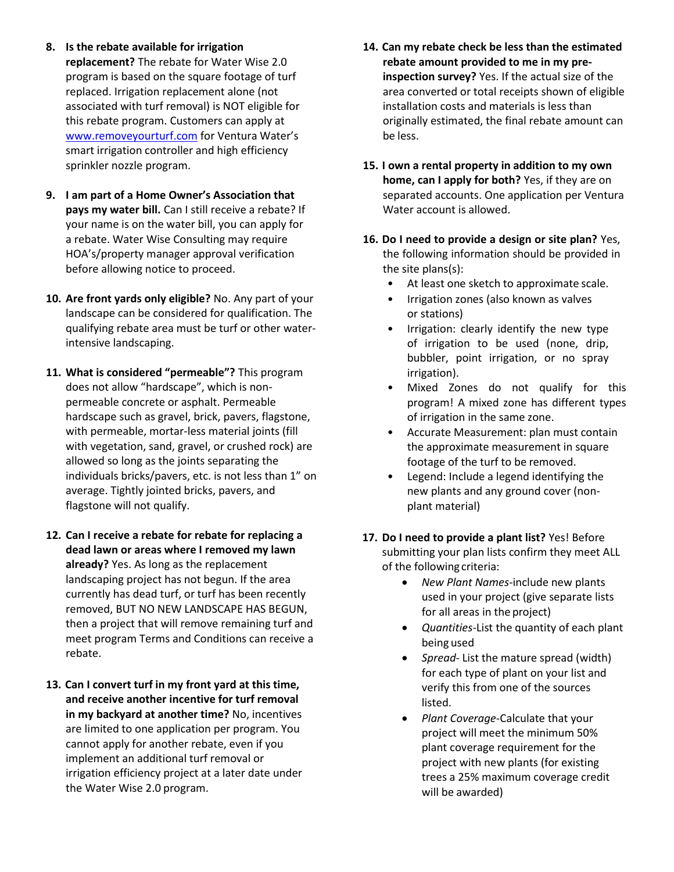- **8. Is the rebate available for irrigation replacement?** The rebate for Water Wise 2.0 program is based on the square footage of turf replaced. Irrigation replacement alone (not associated with turf removal) is NOT eligible for this rebate program. Customers can apply at [www.removeyourturf.com](http://www.removeyourturf.com/) for Ventura Water's smart irrigation controller and high efficiency sprinkler nozzle program.
- **9. I am part of a Home Owner's Association that pays my water bill.** Can I still receive a rebate? If your name is on the water bill, you can apply for a rebate. Water Wise Consulting may require HOA's/property manager approval verification before allowing notice to proceed.
- **10. Are front yards only eligible?** No. Any part of your landscape can be considered for qualification. The qualifying rebate area must be turf or other waterintensive landscaping.
- **11. What is considered "permeable"?** This program does not allow "hardscape", which is nonpermeable concrete or asphalt. Permeable hardscape such as gravel, brick, pavers, flagstone, with permeable, mortar-less material joints (fill with vegetation, sand, gravel, or crushed rock) are allowed so long as the joints separating the individuals bricks/pavers, etc. is not less than 1" on average. Tightly jointed bricks, pavers, and flagstone will not qualify.
- **12. Can I receive a rebate for rebate for replacing a dead lawn or areas where I removed my lawn already?** Yes. As long as the replacement landscaping project has not begun. If the area currently has dead turf, or turf has been recently removed, BUT NO NEW LANDSCAPE HAS BEGUN, then a project that will remove remaining turf and meet program Terms and Conditions can receive a rebate.
- **13. Can I convert turf in my front yard at this time, and receive another incentive for turf removal in my backyard at another time?** No, incentives are limited to one application per program. You cannot apply for another rebate, even if you implement an additional turf removal or irrigation efficiency project at a later date under the Water Wise 2.0 program.
- **14. Can my rebate check be less than the estimated rebate amount provided to me in my preinspection survey?** Yes. If the actual size of the area converted or total receipts shown of eligible installation costs and materials is less than originally estimated, the final rebate amount can be less.
- **15. I own a rental property in addition to my own home, can I apply for both?** Yes, if they are on separated accounts. One application per Ventura Water account is allowed.
- **16. Do I need to provide a design or site plan?** Yes, the following information should be provided in the site plans(s):
	- At least one sketch to approximate scale.
	- Irrigation zones (also known as valves or stations)
	- Irrigation: clearly identify the new type of irrigation to be used (none, drip, bubbler, point irrigation, or no spray irrigation).
	- Mixed Zones do not qualify for this program! A mixed zone has different types of irrigation in the same zone.
	- Accurate Measurement: plan must contain the approximate measurement in square footage of the turf to be removed.
	- Legend: Include a legend identifying the new plants and any ground cover (nonplant material)
- **17. Do I need to provide a plant list?** Yes! Before submitting your plan lists confirm they meet ALL of the following criteria:
	- *New Plant Names*-include new plants used in your project (give separate lists for all areas in the project)
	- *Quantities-*List the quantity of each plant being used
	- *Spread* List the mature spread (width) for each type of plant on your list and verify this from one of the sources listed.
	- *Plant Coverage*-Calculate that your project will meet the minimum 50% plant coverage requirement for the project with new plants (for existing trees a 25% maximum coverage credit will be awarded)